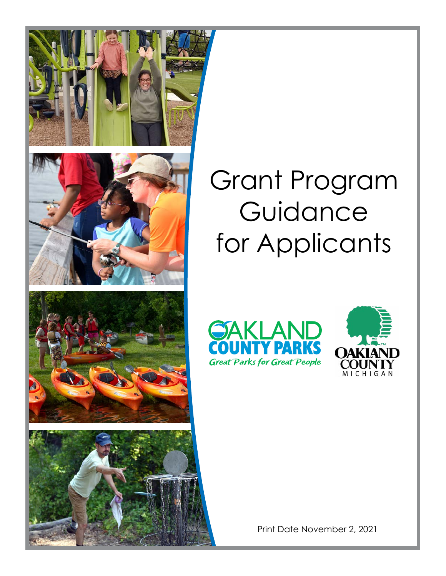

# Grant Program Guidance for Applicants





Print Date November 2, 2021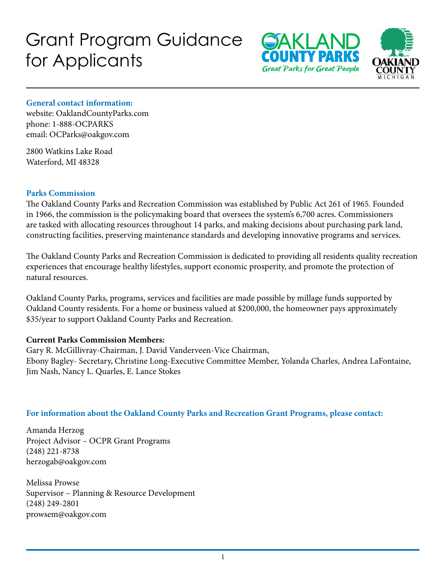# Grant Program Guidance for Applicants





#### **General contact information:**

website: OaklandCountyParks.com phone: 1-888-OCPARKS email: OCParks@oakgov.com

2800 Watkins Lake Road Waterford, MI 48328

#### **Parks Commission**

The Oakland County Parks and Recreation Commission was established by Public Act 261 of 1965. Founded in 1966, the commission is the policymaking board that oversees the system's 6,700 acres. Commissioners are tasked with allocating resources throughout 14 parks, and making decisions about purchasing park land, constructing facilities, preserving maintenance standards and developing innovative programs and services.

The Oakland County Parks and Recreation Commission is dedicated to providing all residents quality recreation experiences that encourage healthy lifestyles, support economic prosperity, and promote the protection of natural resources.

Oakland County Parks, programs, services and facilities are made possible by millage funds supported by Oakland County residents. For a home or business valued at \$200,000, the homeowner pays approximately \$35/year to support Oakland County Parks and Recreation.

#### **Current Parks Commission Members:**

Gary R. McGillivray-Chairman, J. David Vanderveen-Vice Chairman, Ebony Bagley- Secretary, Christine Long-Executive Committee Member, Yolanda Charles, Andrea LaFontaine, Jim Nash, Nancy L. Quarles, E. Lance Stokes

#### **For information about the Oakland County Parks and Recreation Grant Programs, please contact:**

Amanda Herzog Project Advisor – OCPR Grant Programs (248) 221-8738 herzogab@oakgov.com

Melissa Prowse Supervisor – Planning & Resource Development (248) 249-2801 prowsem@oakgov.com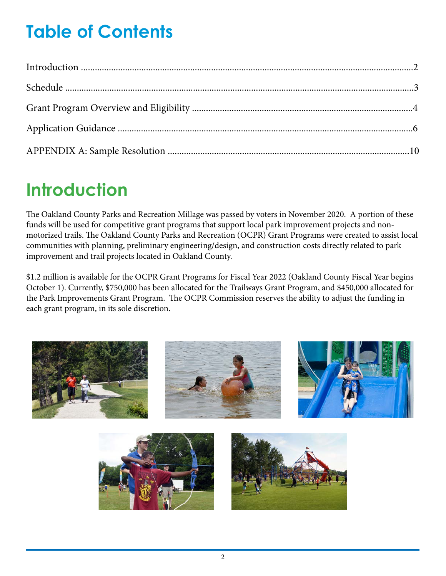# **Table of Contents**

# **Introduction**

The Oakland County Parks and Recreation Millage was passed by voters in November 2020. A portion of these funds will be used for competitive grant programs that support local park improvement projects and nonmotorized trails. The Oakland County Parks and Recreation (OCPR) Grant Programs were created to assist local communities with planning, preliminary engineering/design, and construction costs directly related to park improvement and trail projects located in Oakland County.

\$1.2 million is available for the OCPR Grant Programs for Fiscal Year 2022 (Oakland County Fiscal Year begins October 1). Currently, \$750,000 has been allocated for the Trailways Grant Program, and \$450,000 allocated for the Park Improvements Grant Program. The OCPR Commission reserves the ability to adjust the funding in each grant program, in its sole discretion.

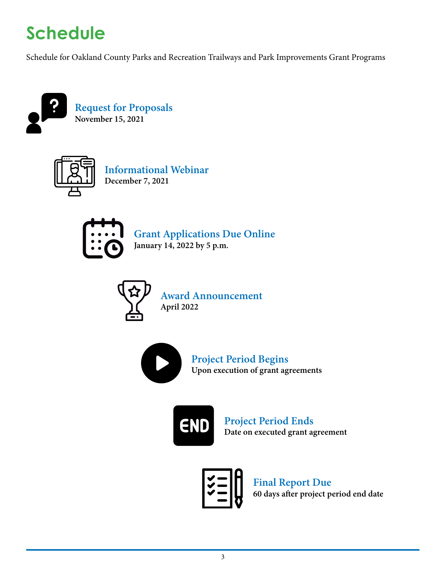# **Schedule**

Schedule for Oakland County Parks and Recreation Trailways and Park Improvements Grant Programs





**Informational Webinar December 7, 2021**



**Grant Applications Due Online January 14, 2022 by 5 p.m.**



**Award Announcement April 2022** 



**Project Period Begins Upon execution of grant agreements**



**Project Period Ends Date on executed grant agreement**

**Final Report Due 60 days after project period end date**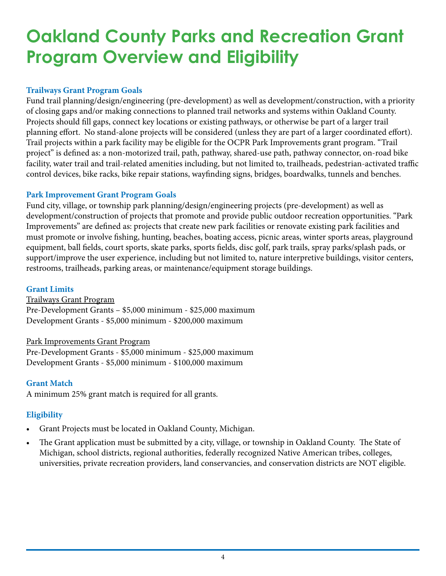# **Oakland County Parks and Recreation Grant Program Overview and Eligibility**

### **Trailways Grant Program Goals**

Fund trail planning/design/engineering (pre-development) as well as development/construction, with a priority of closing gaps and/or making connections to planned trail networks and systems within Oakland County. Projects should fill gaps, connect key locations or existing pathways, or otherwise be part of a larger trail planning effort. No stand-alone projects will be considered (unless they are part of a larger coordinated effort). Trail projects within a park facility may be eligible for the OCPR Park Improvements grant program. "Trail project" is defined as: a non-motorized trail, path, pathway, shared-use path, pathway connector, on-road bike facility, water trail and trail-related amenities including, but not limited to, trailheads, pedestrian-activated traffic control devices, bike racks, bike repair stations, wayfinding signs, bridges, boardwalks, tunnels and benches.

### **Park Improvement Grant Program Goals**

Fund city, village, or township park planning/design/engineering projects (pre-development) as well as development/construction of projects that promote and provide public outdoor recreation opportunities. "Park Improvements" are defined as: projects that create new park facilities or renovate existing park facilities and must promote or involve fishing, hunting, beaches, boating access, picnic areas, winter sports areas, playground equipment, ball fields, court sports, skate parks, sports fields, disc golf, park trails, spray parks/splash pads, or support/improve the user experience, including but not limited to, nature interpretive buildings, visitor centers, restrooms, trailheads, parking areas, or maintenance/equipment storage buildings.

#### **Grant Limits**

Trailways Grant Program Pre-Development Grants – \$5,000 minimum - \$25,000 maximum Development Grants - \$5,000 minimum - \$200,000 maximum

#### Park Improvements Grant Program

Pre-Development Grants - \$5,000 minimum - \$25,000 maximum Development Grants - \$5,000 minimum - \$100,000 maximum

#### **Grant Match**

A minimum 25% grant match is required for all grants.

### **Eligibility**

- Grant Projects must be located in Oakland County, Michigan.
- The Grant application must be submitted by a city, village, or township in Oakland County. The State of Michigan, school districts, regional authorities, federally recognized Native American tribes, colleges, universities, private recreation providers, land conservancies, and conservation districts are NOT eligible.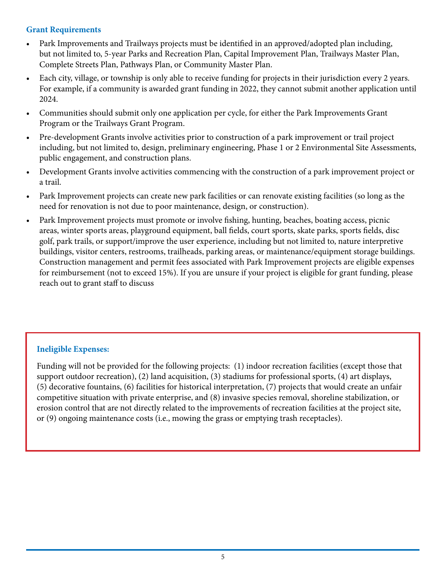#### **Grant Requirements**

- Park Improvements and Trailways projects must be identified in an approved/adopted plan including, but not limited to, 5-year Parks and Recreation Plan, Capital Improvement Plan, Trailways Master Plan, Complete Streets Plan, Pathways Plan, or Community Master Plan.
- Each city, village, or township is only able to receive funding for projects in their jurisdiction every 2 years. For example, if a community is awarded grant funding in 2022, they cannot submit another application until 2024.
- Communities should submit only one application per cycle, for either the Park Improvements Grant Program or the Trailways Grant Program.
- Pre-development Grants involve activities prior to construction of a park improvement or trail project including, but not limited to, design, preliminary engineering, Phase 1 or 2 Environmental Site Assessments, public engagement, and construction plans.
- Development Grants involve activities commencing with the construction of a park improvement project or a trail.
- Park Improvement projects can create new park facilities or can renovate existing facilities (so long as the need for renovation is not due to poor maintenance, design, or construction).
- Park Improvement projects must promote or involve fishing, hunting, beaches, boating access, picnic areas, winter sports areas, playground equipment, ball fields, court sports, skate parks, sports fields, disc golf, park trails, or support/improve the user experience, including but not limited to, nature interpretive buildings, visitor centers, restrooms, trailheads, parking areas, or maintenance/equipment storage buildings. Construction management and permit fees associated with Park Improvement projects are eligible expenses for reimbursement (not to exceed 15%). If you are unsure if your project is eligible for grant funding, please reach out to grant staff to discuss

### **Ineligible Expenses:**

Funding will not be provided for the following projects: (1) indoor recreation facilities (except those that support outdoor recreation), (2) land acquisition, (3) stadiums for professional sports, (4) art displays, (5) decorative fountains, (6) facilities for historical interpretation, (7) projects that would create an unfair competitive situation with private enterprise, and (8) invasive species removal, shoreline stabilization, or erosion control that are not directly related to the improvements of recreation facilities at the project site, or (9) ongoing maintenance costs (i.e., mowing the grass or emptying trash receptacles).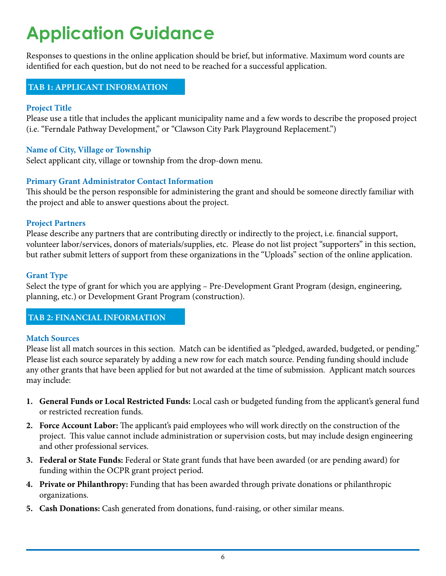# **Application Guidance**

Responses to questions in the online application should be brief, but informative. Maximum word counts are identified for each question, but do not need to be reached for a successful application.

#### **TAB 1: APPLICANT INFORMATION**

#### **Project Title**

Please use a title that includes the applicant municipality name and a few words to describe the proposed project (i.e. "Ferndale Pathway Development," or "Clawson City Park Playground Replacement.")

#### **Name of City, Village or Township**

Select applicant city, village or township from the drop-down menu.

#### **Primary Grant Administrator Contact Information**

This should be the person responsible for administering the grant and should be someone directly familiar with the project and able to answer questions about the project.

#### **Project Partners**

Please describe any partners that are contributing directly or indirectly to the project, i.e. financial support, volunteer labor/services, donors of materials/supplies, etc. Please do not list project "supporters" in this section, but rather submit letters of support from these organizations in the "Uploads" section of the online application.

#### **Grant Type**

Select the type of grant for which you are applying – Pre-Development Grant Program (design, engineering, planning, etc.) or Development Grant Program (construction).

#### **TAB 2: FINANCIAL INFORMATION**

#### **Match Sources**

Please list all match sources in this section. Match can be identified as "pledged, awarded, budgeted, or pending." Please list each source separately by adding a new row for each match source. Pending funding should include any other grants that have been applied for but not awarded at the time of submission. Applicant match sources may include:

- **1. General Funds or Local Restricted Funds:** Local cash or budgeted funding from the applicant's general fund or restricted recreation funds.
- **2. Force Account Labor:** The applicant's paid employees who will work directly on the construction of the project. This value cannot include administration or supervision costs, but may include design engineering and other professional services.
- **3. Federal or State Funds:** Federal or State grant funds that have been awarded (or are pending award) for funding within the OCPR grant project period.
- **4. Private or Philanthropy:** Funding that has been awarded through private donations or philanthropic organizations.
- **5. Cash Donations:** Cash generated from donations, fund-raising, or other similar means.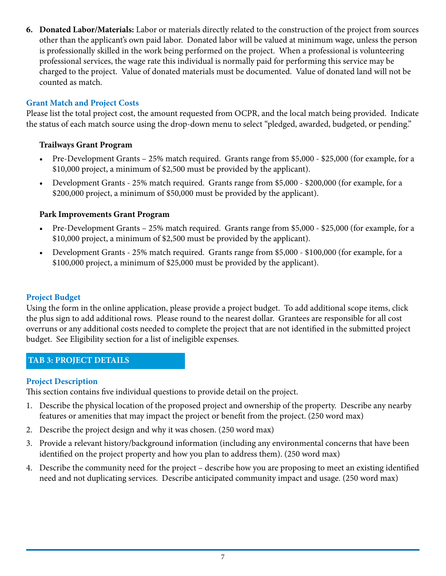**6. Donated Labor/Materials:** Labor or materials directly related to the construction of the project from sources other than the applicant's own paid labor. Donated labor will be valued at minimum wage, unless the person is professionally skilled in the work being performed on the project. When a professional is volunteering professional services, the wage rate this individual is normally paid for performing this service may be charged to the project. Value of donated materials must be documented. Value of donated land will not be counted as match.

### **Grant Match and Project Costs**

Please list the total project cost, the amount requested from OCPR, and the local match being provided. Indicate the status of each match source using the drop-down menu to select "pledged, awarded, budgeted, or pending."

#### **Trailways Grant Program**

- Pre-Development Grants 25% match required. Grants range from \$5,000 \$25,000 (for example, for a \$10,000 project, a minimum of \$2,500 must be provided by the applicant).
- Development Grants 25% match required. Grants range from \$5,000 \$200,000 (for example, for a \$200,000 project, a minimum of \$50,000 must be provided by the applicant).

### **Park Improvements Grant Program**

- Pre-Development Grants 25% match required. Grants range from \$5,000 \$25,000 (for example, for a \$10,000 project, a minimum of \$2,500 must be provided by the applicant).
- Development Grants 25% match required. Grants range from \$5,000 \$100,000 (for example, for a \$100,000 project, a minimum of \$25,000 must be provided by the applicant).

#### **Project Budget**

Using the form in the online application, please provide a project budget. To add additional scope items, click the plus sign to add additional rows. Please round to the nearest dollar. Grantees are responsible for all cost overruns or any additional costs needed to complete the project that are not identified in the submitted project budget. See Eligibility section for a list of ineligible expenses.

#### **TAB 3: PROJECT DETAILS**

#### **Project Description**

This section contains five individual questions to provide detail on the project.

- 1. Describe the physical location of the proposed project and ownership of the property. Describe any nearby features or amenities that may impact the project or benefit from the project. (250 word max)
- 2. Describe the project design and why it was chosen. (250 word max)
- 3. Provide a relevant history/background information (including any environmental concerns that have been identified on the project property and how you plan to address them). (250 word max)
- 4. Describe the community need for the project describe how you are proposing to meet an existing identified need and not duplicating services. Describe anticipated community impact and usage. (250 word max)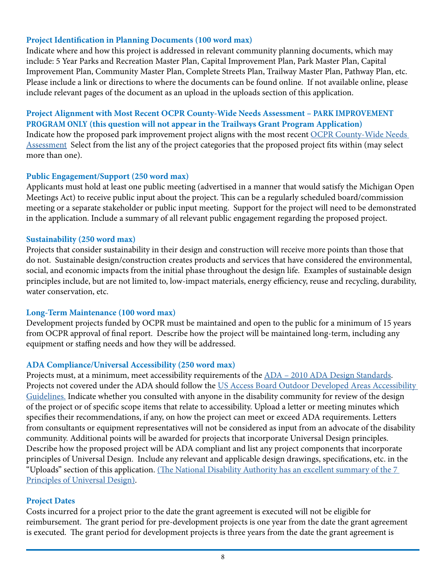#### **Project Identification in Planning Documents (100 word max)**

Indicate where and how this project is addressed in relevant community planning documents, which may include: 5 Year Parks and Recreation Master Plan, Capital Improvement Plan, Park Master Plan, Capital Improvement Plan, Community Master Plan, Complete Streets Plan, Trailway Master Plan, Pathway Plan, etc. Please include a link or directions to where the documents can be found online. If not available online, please include relevant pages of the document as an upload in the uploads section of this application.

#### **Project Alignment with Most Recent OCPR County-Wide Needs Assessment – PARK IMPROVEMENT PROGRAM ONLY (this question will not appear in the Trailways Grant Program Application)**

Indicate how the proposed park improvement project aligns with the most recent [OCPR County-Wide Needs](https://www.oakgov.com/parks/getinvolved/Documents/OCPR.AppendixA.Survey.pdf)  [Assessment](https://www.oakgov.com/parks/getinvolved/Documents/OCPR.AppendixA.Survey.pdf) Select from the list any of the project categories that the proposed project fits within (may select more than one).

#### **Public Engagement/Support (250 word max)**

Applicants must hold at least one public meeting (advertised in a manner that would satisfy the Michigan Open Meetings Act) to receive public input about the project. This can be a regularly scheduled board/commission meeting or a separate stakeholder or public input meeting. Support for the project will need to be demonstrated in the application. Include a summary of all relevant public engagement regarding the proposed project.

#### **Sustainability (250 word max)**

Projects that consider sustainability in their design and construction will receive more points than those that do not. Sustainable design/construction creates products and services that have considered the environmental, social, and economic impacts from the initial phase throughout the design life. Examples of sustainable design principles include, but are not limited to, low-impact materials, energy efficiency, reuse and recycling, durability, water conservation, etc.

#### **Long-Term Maintenance (100 word max)**

Development projects funded by OCPR must be maintained and open to the public for a minimum of 15 years from OCPR approval of final report. Describe how the project will be maintained long-term, including any equipment or staffing needs and how they will be addressed.

#### **ADA Compliance/Universal Accessibility (250 word max)**

Projects must, at a minimum, meet accessibility requirements of the [ADA – 2010 ADA Design Standards.](https://www.ada.gov/regs2010/2010ADAStandards/2010ADAstandards.htm) Projects not covered under the ADA should follow the US Access Board Outdoor Developed Areas Accessibility [Guidelines.](https://www.access-board.gov/files/aba/guides/outdoor-guide.pdf) Indicate whether you consulted with anyone in the disability community for review of the design of the project or of specific scope items that relate to accessibility. Upload a letter or meeting minutes which specifies their recommendations, if any, on how the project can meet or exceed ADA requirements. Letters from consultants or equipment representatives will not be considered as input from an advocate of the disability community. Additional points will be awarded for projects that incorporate Universal Design principles. Describe how the proposed project will be ADA compliant and list any project components that incorporate principles of Universal Design. Include any relevant and applicable design drawings, specifications, etc. in the "Uploads" section of this application. [\(The National Disability Authority has an excellent summary of the 7](http://universaldesign.ie/what-is-universal-design/the-7-principles/)  [Principles of Universal Design\)](http://universaldesign.ie/what-is-universal-design/the-7-principles/).

#### **Project Dates**

Costs incurred for a project prior to the date the grant agreement is executed will not be eligible for reimbursement. The grant period for pre-development projects is one year from the date the grant agreement is executed. The grant period for development projects is three years from the date the grant agreement is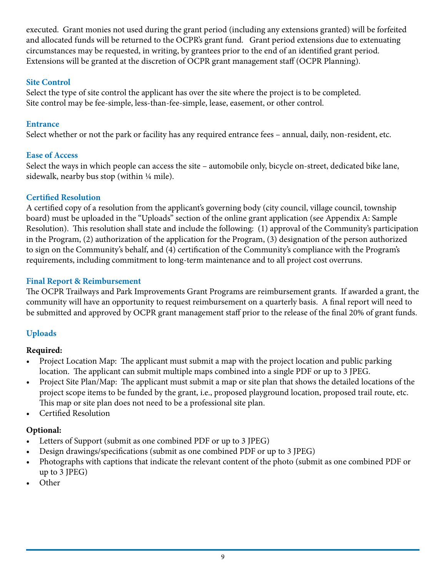executed. Grant monies not used during the grant period (including any extensions granted) will be forfeited and allocated funds will be returned to the OCPR's grant fund. Grant period extensions due to extenuating circumstances may be requested, in writing, by grantees prior to the end of an identified grant period. Extensions will be granted at the discretion of OCPR grant management staff (OCPR Planning).

### **Site Control**

Select the type of site control the applicant has over the site where the project is to be completed. Site control may be fee-simple, less-than-fee-simple, lease, easement, or other control.

## **Entrance**

Select whether or not the park or facility has any required entrance fees – annual, daily, non-resident, etc.

# **Ease of Access**

Select the ways in which people can access the site – automobile only, bicycle on-street, dedicated bike lane, sidewalk, nearby bus stop (within 1/4 mile).

# **Certified Resolution**

A certified copy of a resolution from the applicant's governing body (city council, village council, township board) must be uploaded in the "Uploads" section of the online grant application (see Appendix A: Sample Resolution). This resolution shall state and include the following: (1) approval of the Community's participation in the Program, (2) authorization of the application for the Program, (3) designation of the person authorized to sign on the Community's behalf, and (4) certification of the Community's compliance with the Program's requirements, including commitment to long-term maintenance and to all project cost overruns.

# **Final Report & Reimbursement**

The OCPR Trailways and Park Improvements Grant Programs are reimbursement grants. If awarded a grant, the community will have an opportunity to request reimbursement on a quarterly basis. A final report will need to be submitted and approved by OCPR grant management staff prior to the release of the final 20% of grant funds.

# **Uploads**

# **Required:**

- Project Location Map: The applicant must submit a map with the project location and public parking location. The applicant can submit multiple maps combined into a single PDF or up to 3 JPEG.
- Project Site Plan/Map: The applicant must submit a map or site plan that shows the detailed locations of the project scope items to be funded by the grant, i.e., proposed playground location, proposed trail route, etc. This map or site plan does not need to be a professional site plan.
- Certified Resolution

# **Optional:**

- Letters of Support (submit as one combined PDF or up to 3 JPEG)
- Design drawings/specifications (submit as one combined PDF or up to 3 JPEG)
- Photographs with captions that indicate the relevant content of the photo (submit as one combined PDF or up to 3 JPEG)
- Other